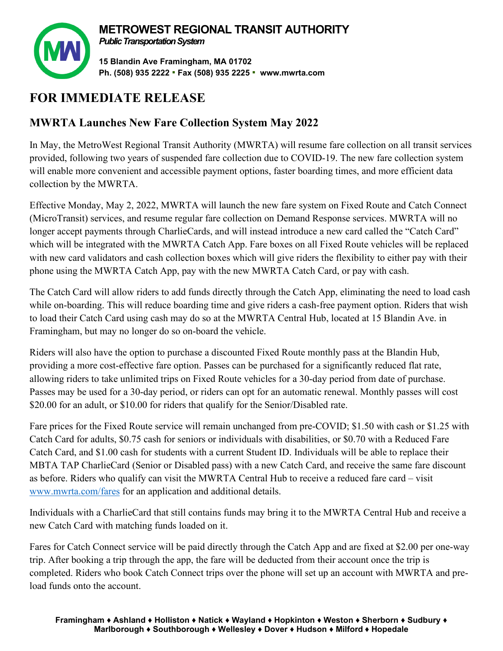

## **METROWEST REGIONAL TRANSIT AUTHORITY**

*Public Transportation System*

**15 Blandin Ave Framingham, MA 01702 Ph. (508) 935 2222 ▪ Fax (508) 935 2225 ▪ www.mwrta.com**

## **FOR IMMEDIATE RELEASE**

## **MWRTA Launches New Fare Collection System May 2022**

In May, the MetroWest Regional Transit Authority (MWRTA) will resume fare collection on all transit services provided, following two years of suspended fare collection due to COVID-19. The new fare collection system will enable more convenient and accessible payment options, faster boarding times, and more efficient data collection by the MWRTA.

Effective Monday, May 2, 2022, MWRTA will launch the new fare system on Fixed Route and Catch Connect (MicroTransit) services, and resume regular fare collection on Demand Response services. MWRTA will no longer accept payments through CharlieCards, and will instead introduce a new card called the "Catch Card" which will be integrated with the MWRTA Catch App. Fare boxes on all Fixed Route vehicles will be replaced with new card validators and cash collection boxes which will give riders the flexibility to either pay with their phone using the MWRTA Catch App, pay with the new MWRTA Catch Card, or pay with cash.

The Catch Card will allow riders to add funds directly through the Catch App, eliminating the need to load cash while on-boarding. This will reduce boarding time and give riders a cash-free payment option. Riders that wish to load their Catch Card using cash may do so at the MWRTA Central Hub, located at 15 Blandin Ave. in Framingham, but may no longer do so on-board the vehicle.

Riders will also have the option to purchase a discounted Fixed Route monthly pass at the Blandin Hub, providing a more cost-effective fare option. Passes can be purchased for a significantly reduced flat rate, allowing riders to take unlimited trips on Fixed Route vehicles for a 30-day period from date of purchase. Passes may be used for a 30-day period, or riders can opt for an automatic renewal. Monthly passes will cost \$20.00 for an adult, or \$10.00 for riders that qualify for the Senior/Disabled rate.

Fare prices for the Fixed Route service will remain unchanged from pre-COVID; \$1.50 with cash or \$1.25 with Catch Card for adults, \$0.75 cash for seniors or individuals with disabilities, or \$0.70 with a Reduced Fare Catch Card, and \$1.00 cash for students with a current Student ID. Individuals will be able to replace their MBTA TAP CharlieCard (Senior or Disabled pass) with a new Catch Card, and receive the same fare discount as before. Riders who qualify can visit the MWRTA Central Hub to receive a reduced fare card – visit [www.mwrta.com/fares](http://www.mwrta.com/fare) for an application and additional details.

Individuals with a CharlieCard that still contains funds may bring it to the MWRTA Central Hub and receive a new Catch Card with matching funds loaded on it.

Fares for Catch Connect service will be paid directly through the Catch App and are fixed at \$2.00 per one-way trip. After booking a trip through the app, the fare will be deducted from their account once the trip is completed. Riders who book Catch Connect trips over the phone will set up an account with MWRTA and preload funds onto the account.